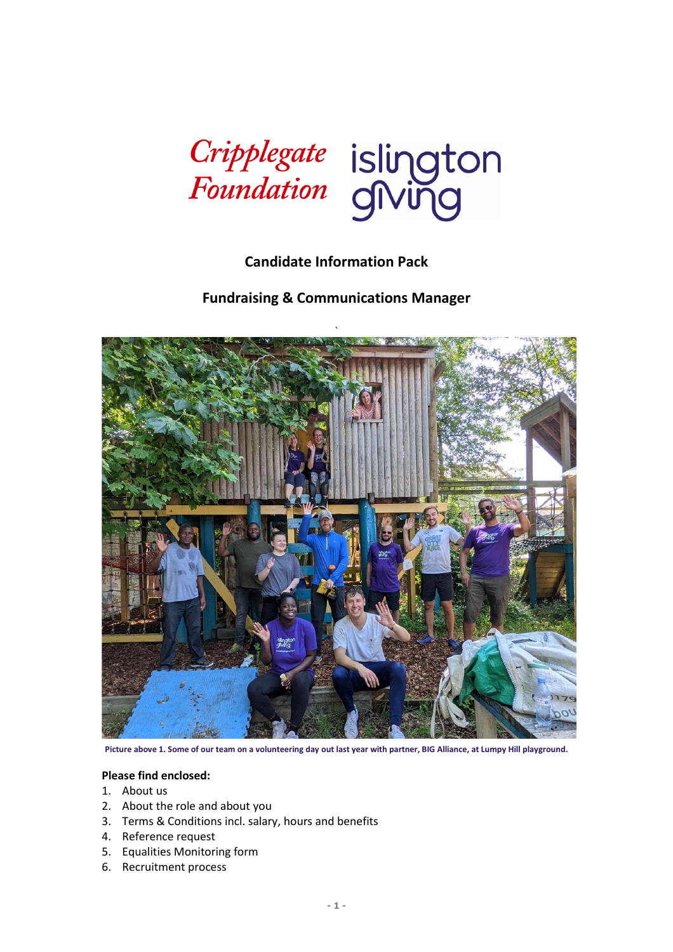

# **Candidate Information Pack**

**Fundraising & Communications Manager**



**Picture above 1. Some of our team on a volunteering day out last year with partner, BIG Alliance, at Lumpy Hill playground.**

#### **Please find enclosed:**

- 1. About us
- 2. About the role and about you
- 3. Terms & Conditions incl. salary, hours and benefits
- 4. Reference request
- 5. Equalities Monitoring form
- 6. Recruitment process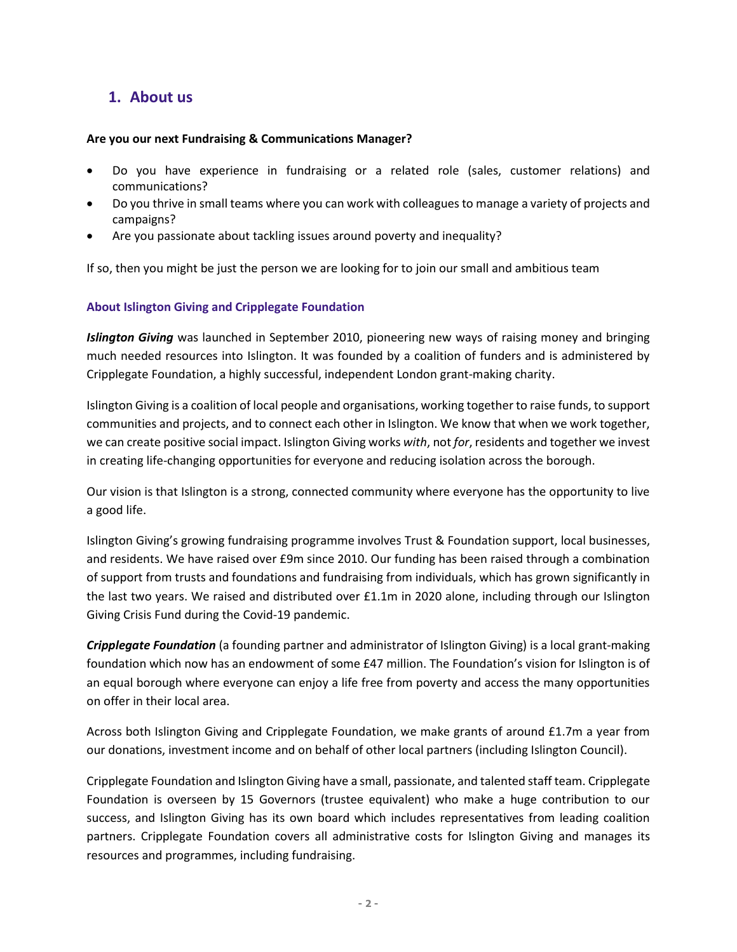# **1. About us**

#### **Are you our next Fundraising & Communications Manager?**

- Do you have experience in fundraising or a related role (sales, customer relations) and communications?
- Do you thrive in small teams where you can work with colleagues to manage a variety of projects and campaigns?
- Are you passionate about tackling issues around poverty and inequality?

If so, then you might be just the person we are looking for to join our small and ambitious team

### **About Islington Giving and Cripplegate Foundation**

*Islington Giving* was launched in September 2010, pioneering new ways of raising money and bringing much needed resources into Islington. It was founded by a coalition of funders and is administered by Cripplegate Foundation, a highly successful, independent London grant-making charity.

Islington Giving is a coalition of local people and organisations, working together to raise funds, to support communities and projects, and to connect each other in Islington. We know that when we work together, we can create positive social impact. Islington Giving works *with*, not *for*, residents and together we invest in creating life-changing opportunities for everyone and reducing isolation across the borough.

Our vision is that Islington is a strong, connected community where everyone has the opportunity to live a good life.

Islington Giving's growing fundraising programme involves Trust & Foundation support, local businesses, and residents. We have raised over £9m since 2010. Our funding has been raised through a combination of support from trusts and foundations and fundraising from individuals, which has grown significantly in the last two years. We raised and distributed over £1.1m in 2020 alone, including through our Islington Giving Crisis Fund during the Covid-19 pandemic.

*Cripplegate Foundation* (a founding partner and administrator of Islington Giving) is a local grant-making foundation which now has an endowment of some £47 million. The Foundation's vision for Islington is of an equal borough where everyone can enjoy a life free from poverty and access the many opportunities on offer in their local area.

Across both Islington Giving and Cripplegate Foundation, we make grants of around £1.7m a year from our donations, investment income and on behalf of other local partners (including Islington Council).

Cripplegate Foundation and Islington Giving have a small, passionate, and talented staff team. Cripplegate Foundation is overseen by 15 Governors (trustee equivalent) who make a huge contribution to our success, and Islington Giving has its own board which includes representatives from leading coalition partners. Cripplegate Foundation covers all administrative costs for Islington Giving and manages its resources and programmes, including fundraising.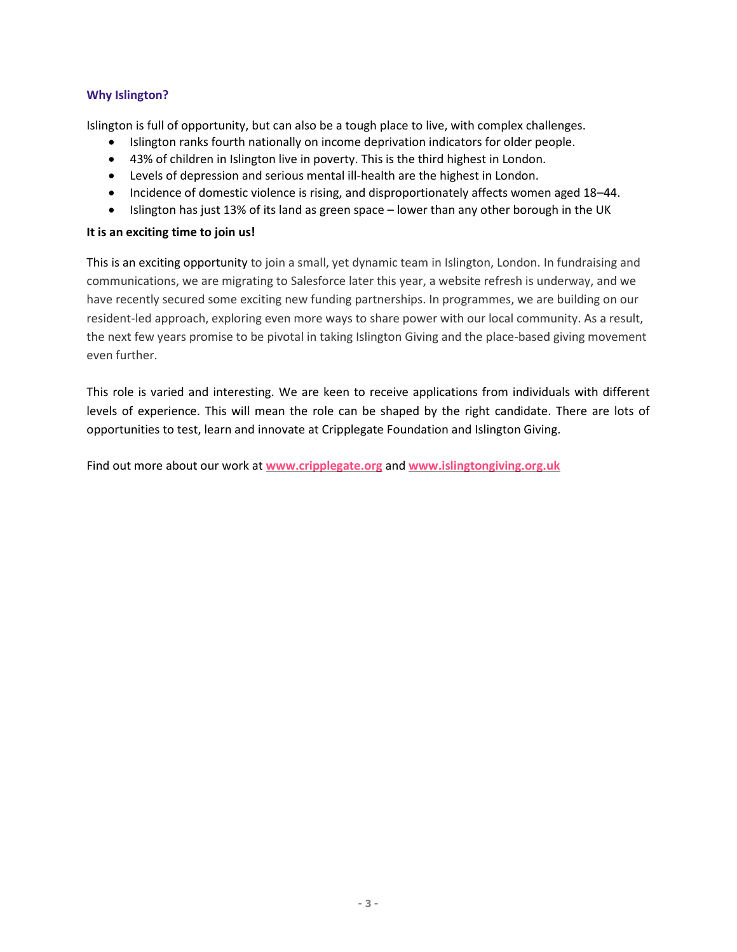### **Why Islington?**

Islington is full of opportunity, but can also be a tough place to live, with complex challenges.

- Islington ranks fourth nationally on income deprivation indicators for older people.
- 43% of children in Islington live in poverty. This is the third highest in London.
- Levels of depression and serious mental ill-health are the highest in London.
- Incidence of domestic violence is rising, and disproportionately affects women aged 18–44.
- Islington has just 13% of its land as green space lower than any other borough in the UK

#### **It is an exciting time to join us!**

This is an exciting opportunity to join a small, yet dynamic team in Islington, London. In fundraising and communications, we are migrating to Salesforce later this year, a website refresh is underway, and we have recently secured some exciting new funding partnerships. In programmes, we are building on our resident-led approach, exploring even more ways to share power with our local community. As a result, the next few years promise to be pivotal in taking Islington Giving and the place-based giving movement even further.

This role is varied and interesting. We are keen to receive applications from individuals with different levels of experience. This will mean the role can be shaped by the right candidate. There are lots of opportunities to test, learn and innovate at Cripplegate Foundation and Islington Giving.

Find out more about our work at **[www.cripplegate.org](http://www.cripplegate.org/)** and **[www.islingtongiving.org.uk](http://www.islingtongiving.org.uk/)**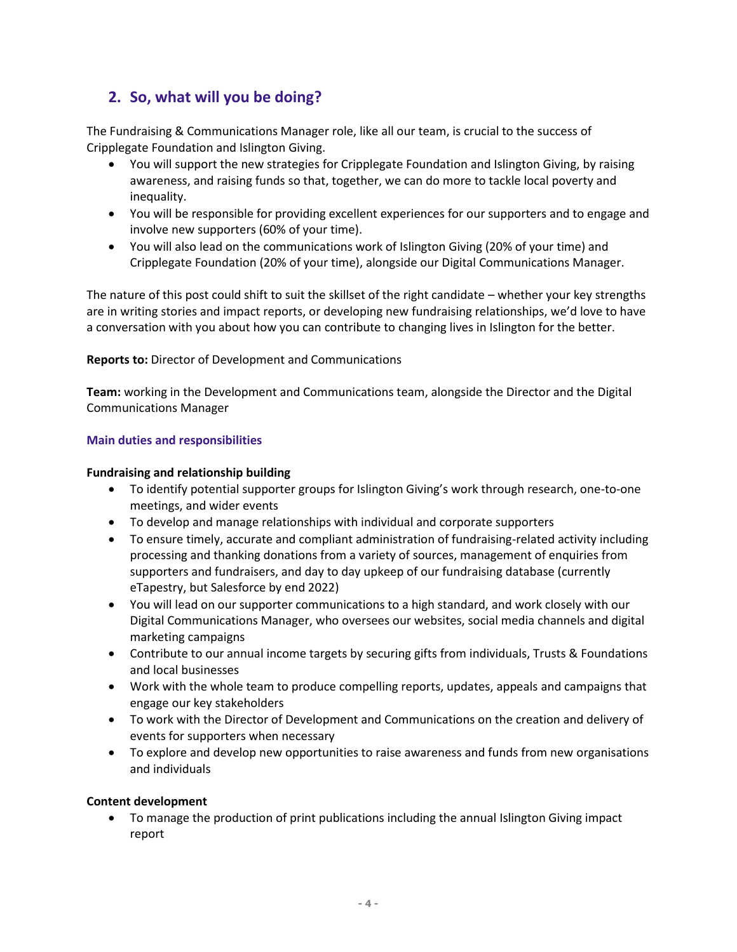# **2. So, what will you be doing?**

The Fundraising & Communications Manager role, like all our team, is crucial to the success of Cripplegate Foundation and Islington Giving.

- You will support the new strategies for Cripplegate Foundation and Islington Giving, by raising awareness, and raising funds so that, together, we can do more to tackle local poverty and inequality.
- You will be responsible for providing excellent experiences for our supporters and to engage and involve new supporters (60% of your time).
- You will also lead on the communications work of Islington Giving (20% of your time) and Cripplegate Foundation (20% of your time), alongside our Digital Communications Manager.

The nature of this post could shift to suit the skillset of the right candidate – whether your key strengths are in writing stories and impact reports, or developing new fundraising relationships, we'd love to have a conversation with you about how you can contribute to changing lives in Islington for the better.

### **Reports to:** Director of Development and Communications

**Team:** working in the Development and Communications team, alongside the Director and the Digital Communications Manager

### **Main duties and responsibilities**

### **Fundraising and relationship building**

- To identify potential supporter groups for Islington Giving's work through research, one-to-one meetings, and wider events
- To develop and manage relationships with individual and corporate supporters
- To ensure timely, accurate and compliant administration of fundraising-related activity including processing and thanking donations from a variety of sources, management of enquiries from supporters and fundraisers, and day to day upkeep of our fundraising database (currently eTapestry, but Salesforce by end 2022)
- You will lead on our supporter communications to a high standard, and work closely with our Digital Communications Manager, who oversees our websites, social media channels and digital marketing campaigns
- Contribute to our annual income targets by securing gifts from individuals, Trusts & Foundations and local businesses
- Work with the whole team to produce compelling reports, updates, appeals and campaigns that engage our key stakeholders
- To work with the Director of Development and Communications on the creation and delivery of events for supporters when necessary
- To explore and develop new opportunities to raise awareness and funds from new organisations and individuals

#### **Content development**

• To manage the production of print publications including the annual Islington Giving impact report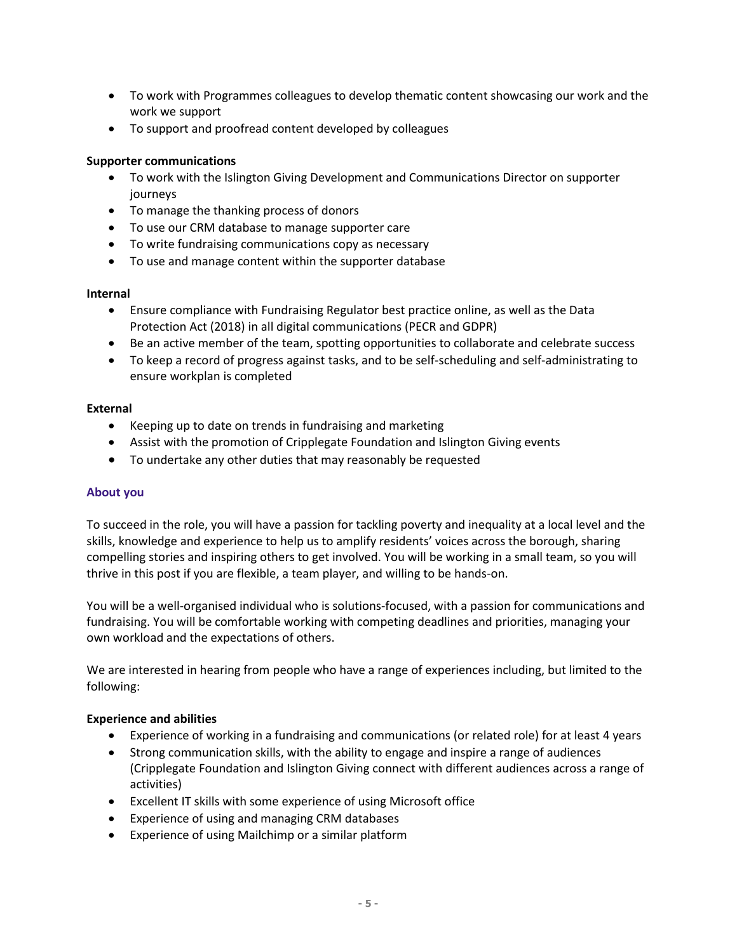- To work with Programmes colleagues to develop thematic content showcasing our work and the work we support
- To support and proofread content developed by colleagues

### **Supporter communications**

- To work with the Islington Giving Development and Communications Director on supporter journeys
- To manage the thanking process of donors
- To use our CRM database to manage supporter care
- To write fundraising communications copy as necessary
- To use and manage content within the supporter database

#### **Internal**

- Ensure compliance with Fundraising Regulator best practice online, as well as the Data Protection Act (2018) in all digital communications (PECR and GDPR)
- Be an active member of the team, spotting opportunities to collaborate and celebrate success
- To keep a record of progress against tasks, and to be self-scheduling and self-administrating to ensure workplan is completed

#### **External**

- Keeping up to date on trends in fundraising and marketing
- Assist with the promotion of Cripplegate Foundation and Islington Giving events
- To undertake any other duties that may reasonably be requested

#### **About you**

To succeed in the role, you will have a passion for tackling poverty and inequality at a local level and the skills, knowledge and experience to help us to amplify residents' voices across the borough, sharing compelling stories and inspiring others to get involved. You will be working in a small team, so you will thrive in this post if you are flexible, a team player, and willing to be hands-on.

You will be a well-organised individual who is solutions-focused, with a passion for communications and fundraising. You will be comfortable working with competing deadlines and priorities, managing your own workload and the expectations of others.

We are interested in hearing from people who have a range of experiences including, but limited to the following:

#### **Experience and abilities**

- Experience of working in a fundraising and communications (or related role) for at least 4 years
- Strong communication skills, with the ability to engage and inspire a range of audiences (Cripplegate Foundation and Islington Giving connect with different audiences across a range of activities)
- Excellent IT skills with some experience of using Microsoft office
- Experience of using and managing CRM databases
- Experience of using Mailchimp or a similar platform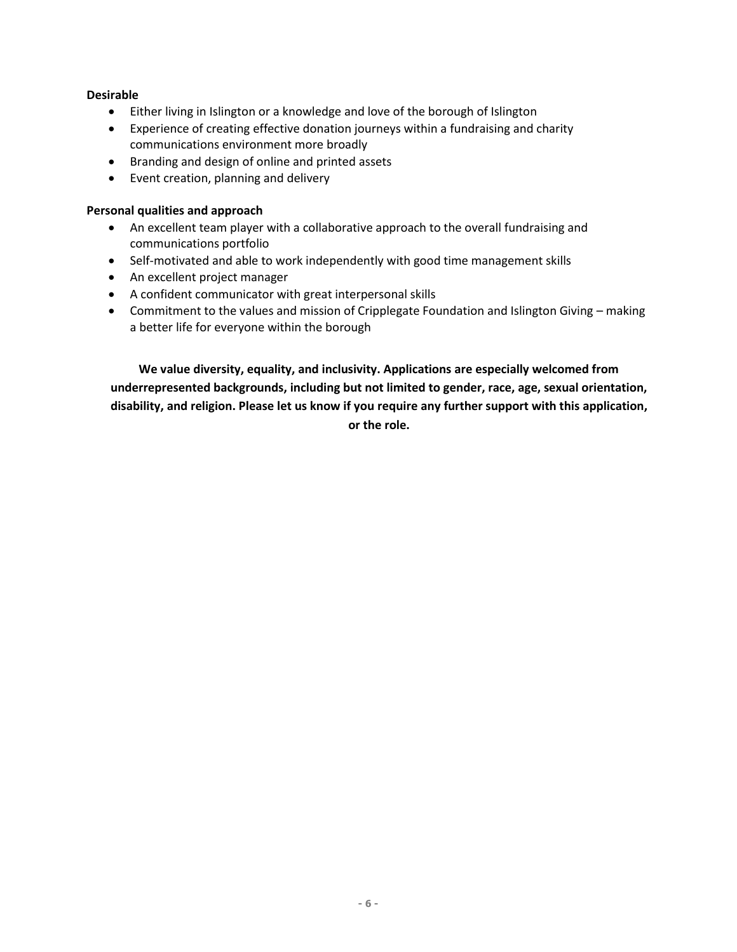#### **Desirable**

- Either living in Islington or a knowledge and love of the borough of Islington
- Experience of creating effective donation journeys within a fundraising and charity communications environment more broadly
- Branding and design of online and printed assets
- Event creation, planning and delivery

#### **Personal qualities and approach**

- An excellent team player with a collaborative approach to the overall fundraising and communications portfolio
- Self-motivated and able to work independently with good time management skills
- An excellent project manager
- A confident communicator with great interpersonal skills
- Commitment to the values and mission of Cripplegate Foundation and Islington Giving making a better life for everyone within the borough

**We value diversity, equality, and inclusivity. Applications are especially welcomed from underrepresented backgrounds, including but not limited to gender, race, age, sexual orientation, disability, and religion. Please let us know if you require any further support with this application, or the role.**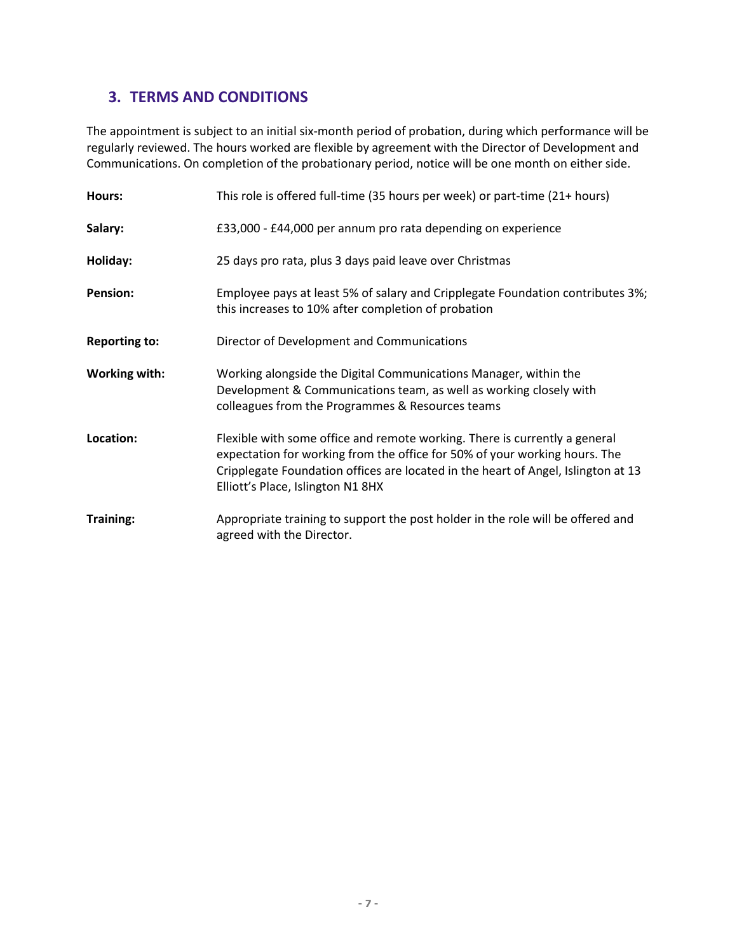# **3. TERMS AND CONDITIONS**

The appointment is subject to an initial six-month period of probation, during which performance will be regularly reviewed. The hours worked are flexible by agreement with the Director of Development and Communications. On completion of the probationary period, notice will be one month on either side.

| Hours:               | This role is offered full-time (35 hours per week) or part-time (21+ hours)                                                                                                                                                                                                        |
|----------------------|------------------------------------------------------------------------------------------------------------------------------------------------------------------------------------------------------------------------------------------------------------------------------------|
| Salary:              | £33,000 - £44,000 per annum pro rata depending on experience                                                                                                                                                                                                                       |
| Holiday:             | 25 days pro rata, plus 3 days paid leave over Christmas                                                                                                                                                                                                                            |
| <b>Pension:</b>      | Employee pays at least 5% of salary and Cripplegate Foundation contributes 3%;<br>this increases to 10% after completion of probation                                                                                                                                              |
| <b>Reporting to:</b> | Director of Development and Communications                                                                                                                                                                                                                                         |
| <b>Working with:</b> | Working alongside the Digital Communications Manager, within the<br>Development & Communications team, as well as working closely with<br>colleagues from the Programmes & Resources teams                                                                                         |
| Location:            | Flexible with some office and remote working. There is currently a general<br>expectation for working from the office for 50% of your working hours. The<br>Cripplegate Foundation offices are located in the heart of Angel, Islington at 13<br>Elliott's Place, Islington N1 8HX |
| <b>Training:</b>     | Appropriate training to support the post holder in the role will be offered and<br>agreed with the Director.                                                                                                                                                                       |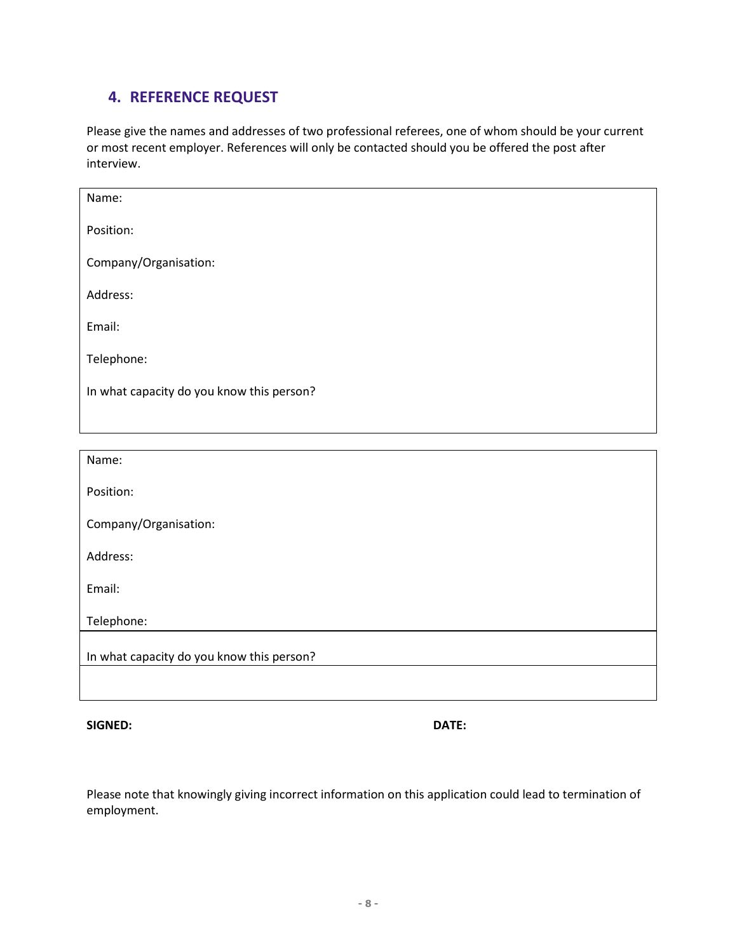# **4. REFERENCE REQUEST**

Please give the names and addresses of two professional referees, one of whom should be your current or most recent employer. References will only be contacted should you be offered the post after interview.

| Name:                                     |
|-------------------------------------------|
| Position:                                 |
| Company/Organisation:                     |
| Address:                                  |
| Email:                                    |
| Telephone:                                |
| In what capacity do you know this person? |
|                                           |
|                                           |
|                                           |
| Name:                                     |
| Position:                                 |
| Company/Organisation:                     |
| Address:                                  |
| Email:                                    |
| Telephone:                                |
| In what capacity do you know this person? |
|                                           |

**SIGNED: DATE:**

Please note that knowingly giving incorrect information on this application could lead to termination of employment.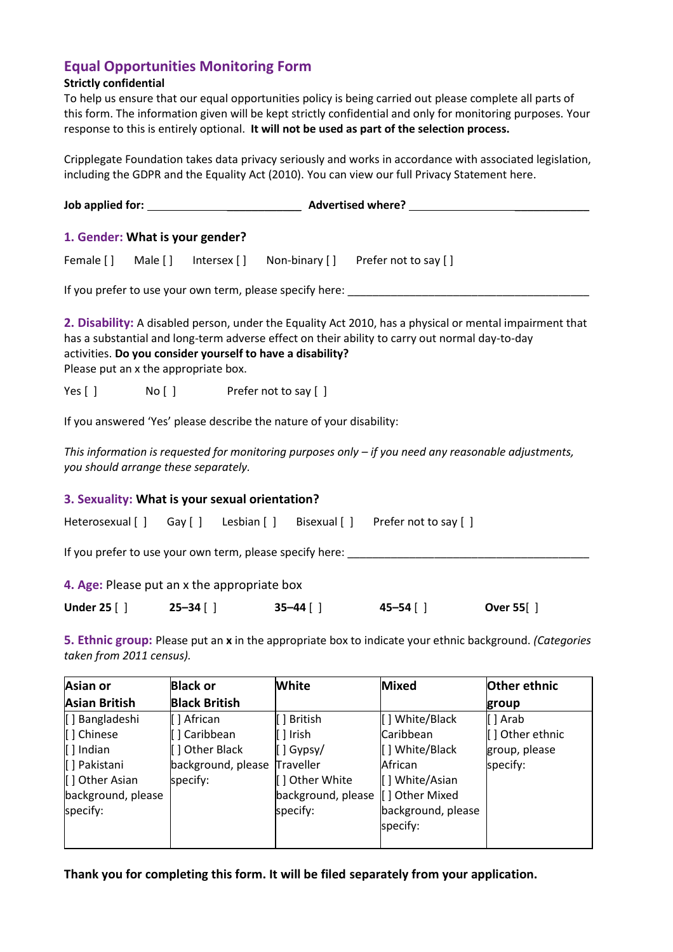# **Equal Opportunities Monitoring Form**

### **Strictly confidential**

To help us ensure that our equal opportunities policy is being carried out please complete all parts of this form. The information given will be kept strictly confidential and only for monitoring purposes. Your response to this is entirely optional. **It will not be used as part of the selection process.**

Cripplegate Foundation takes data privacy seriously and works in accordance with associated legislation, including the GDPR and the Equality Act (2010). [You can view our full Privacy Statement here.](https://www.cripplegate.org/privacy-statement)

|  |  | 1. Gender: What is your gender?                |                                                                      |                                                                                                                                                                                                           |  |
|--|--|------------------------------------------------|----------------------------------------------------------------------|-----------------------------------------------------------------------------------------------------------------------------------------------------------------------------------------------------------|--|
|  |  |                                                |                                                                      | Female [] Male [] Intersex [] Non-binary [] Prefer not to say []                                                                                                                                          |  |
|  |  |                                                |                                                                      |                                                                                                                                                                                                           |  |
|  |  | Please put an x the appropriate box.           | activities. Do you consider yourself to have a disability?           | 2. Disability: A disabled person, under the Equality Act 2010, has a physical or mental impairment that<br>has a substantial and long-term adverse effect on their ability to carry out normal day-to-day |  |
|  |  | Yes [] No [] Prefer not to say []              |                                                                      |                                                                                                                                                                                                           |  |
|  |  |                                                | If you answered 'Yes' please describe the nature of your disability: |                                                                                                                                                                                                           |  |
|  |  | you should arrange these separately.           |                                                                      | This information is requested for monitoring purposes only - if you need any reasonable adjustments,                                                                                                      |  |
|  |  | 3. Sexuality: What is your sexual orientation? |                                                                      |                                                                                                                                                                                                           |  |
|  |  |                                                |                                                                      | Heterosexual [] Gay [] Lesbian [] Bisexual [] Prefer not to say []                                                                                                                                        |  |
|  |  |                                                |                                                                      |                                                                                                                                                                                                           |  |
|  |  | 4. Age: Please put an x the appropriate box    |                                                                      |                                                                                                                                                                                                           |  |

| <b>Under 25 [ ]</b> | $25 - 34$ [ ] | $35 - 44$ [ ] | $45 - 54$ [ ] | <b>Over 55</b> [] |
|---------------------|---------------|---------------|---------------|-------------------|
|---------------------|---------------|---------------|---------------|-------------------|

**5. Ethnic group:** Please put an **x** in the appropriate box to indicate your ethnic background. *(Categories taken from 2011 census).*

| Asian or             | <b>Black or</b>      | <b>White</b>       | <b>Mixed</b>       | Other ethnic    |
|----------------------|----------------------|--------------------|--------------------|-----------------|
| <b>Asian British</b> | <b>Black British</b> |                    |                    | group           |
| [] Bangladeshi       | [ ] African          | [ ] British        | [] White/Black     | [ ] Arab        |
| [] Chinese           | [] Caribbean         | $\lceil$   Irish   | Caribbean          | [] Other ethnic |
| $\vert$   Indian     | [] Other Black       | $\lfloor$   Gypsy/ | [] White/Black     | group, please   |
| [] Pakistani         | background, please   | Traveller          | African            | specify:        |
| [] Other Asian       | specify:             | [] Other White     | [] White/Asian     |                 |
| background, please   |                      | background, please | [] Other Mixed     |                 |
| specify:             |                      | specify:           | background, please |                 |
|                      |                      |                    | specify:           |                 |
|                      |                      |                    |                    |                 |

**Thank you for completing this form. It will be filed separately from your application.**